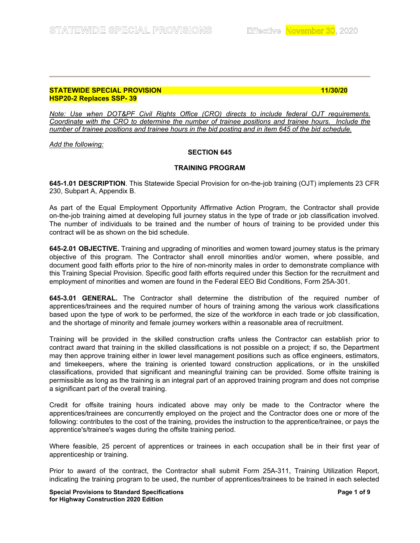## **STATEWIDE SPECIAL PROVISION 11/30/20 HSP20-2 Replaces SSP- 39**

*Note: Use when DOT&PF Civil Rights Office (CRO) directs to include federal OJT requirements. Coordinate with the CRO to determine the number of trainee positions and trainee hours. Include the number of trainee positions and trainee hours in the bid posting and in item 645 of the bid schedule.*

*Add the following:*

# **SECTION 645**

# **TRAINING PROGRAM**

**645-1.01 DESCRIPTION**. This Statewide Special Provision for on-the-job training (OJT) implements 23 CFR 230, Subpart A, Appendix B.

As part of the Equal Employment Opportunity Affirmative Action Program, the Contractor shall provide on-the-job training aimed at developing full journey status in the type of trade or job classification involved. The number of individuals to be trained and the number of hours of training to be provided under this contract will be as shown on the bid schedule.

**645-2.01 OBJECTIVE.** Training and upgrading of minorities and women toward journey status is the primary objective of this program. The Contractor shall enroll minorities and/or women, where possible, and document good faith efforts prior to the hire of non-minority males in order to demonstrate compliance with this Training Special Provision. Specific good faith efforts required under this Section for the recruitment and employment of minorities and women are found in the Federal EEO Bid Conditions, Form 25A-301.

**645-3.01 GENERAL.** The Contractor shall determine the distribution of the required number of apprentices/trainees and the required number of hours of training among the various work classifications based upon the type of work to be performed, the size of the workforce in each trade or job classification, and the shortage of minority and female journey workers within a reasonable area of recruitment.

Training will be provided in the skilled construction crafts unless the Contractor can establish prior to contract award that training in the skilled classifications is not possible on a project; if so, the Department may then approve training either in lower level management positions such as office engineers, estimators, and timekeepers, where the training is oriented toward construction applications, or in the unskilled classifications, provided that significant and meaningful training can be provided. Some offsite training is permissible as long as the training is an integral part of an approved training program and does not comprise a significant part of the overall training.

Credit for offsite training hours indicated above may only be made to the Contractor where the apprentices/trainees are concurrently employed on the project and the Contractor does one or more of the following: contributes to the cost of the training, provides the instruction to the apprentice/trainee, or pays the apprentice's/trainee's wages during the offsite training period.

Where feasible, 25 percent of apprentices or trainees in each occupation shall be in their first year of apprenticeship or training.

Prior to award of the contract, the Contractor shall submit Form 25A-311, Training Utilization Report, indicating the training program to be used, the number of apprentices/trainees to be trained in each selected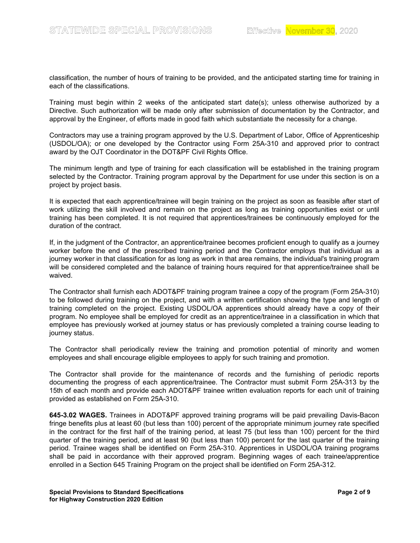classification, the number of hours of training to be provided, and the anticipated starting time for training in each of the classifications.

Training must begin within 2 weeks of the anticipated start date(s); unless otherwise authorized by a Directive. Such authorization will be made only after submission of documentation by the Contractor, and approval by the Engineer, of efforts made in good faith which substantiate the necessity for a change.

Contractors may use a training program approved by the U.S. Department of Labor, Office of Apprenticeship (USDOL/OA); or one developed by the Contractor using Form 25A-310 and approved prior to contract award by the OJT Coordinator in the DOT&PF Civil Rights Office.

The minimum length and type of training for each classification will be established in the training program selected by the Contractor. Training program approval by the Department for use under this section is on a project by project basis.

It is expected that each apprentice/trainee will begin training on the project as soon as feasible after start of work utilizing the skill involved and remain on the project as long as training opportunities exist or until training has been completed. It is not required that apprentices/trainees be continuously employed for the duration of the contract.

If, in the judgment of the Contractor, an apprentice/trainee becomes proficient enough to qualify as a journey worker before the end of the prescribed training period and the Contractor employs that individual as a journey worker in that classification for as long as work in that area remains, the individual's training program will be considered completed and the balance of training hours required for that apprentice/trainee shall be waived.

The Contractor shall furnish each ADOT&PF training program trainee a copy of the program (Form 25A-310) to be followed during training on the project, and with a written certification showing the type and length of training completed on the project. Existing USDOL/OA apprentices should already have a copy of their program. No employee shall be employed for credit as an apprentice/trainee in a classification in which that employee has previously worked at journey status or has previously completed a training course leading to journey status.

The Contractor shall periodically review the training and promotion potential of minority and women employees and shall encourage eligible employees to apply for such training and promotion.

The Contractor shall provide for the maintenance of records and the furnishing of periodic reports documenting the progress of each apprentice/trainee. The Contractor must submit Form 25A-313 by the 15th of each month and provide each ADOT&PF trainee written evaluation reports for each unit of training provided as established on Form 25A-310.

**645-3.02 WAGES.** Trainees in ADOT&PF approved training programs will be paid prevailing Davis-Bacon fringe benefits plus at least 60 (but less than 100) percent of the appropriate minimum journey rate specified in the contract for the first half of the training period, at least 75 (but less than 100) percent for the third quarter of the training period, and at least 90 (but less than 100) percent for the last quarter of the training period. Trainee wages shall be identified on Form 25A-310. Apprentices in USDOL/OA training programs shall be paid in accordance with their approved program. Beginning wages of each trainee/apprentice enrolled in a Section 645 Training Program on the project shall be identified on Form 25A-312.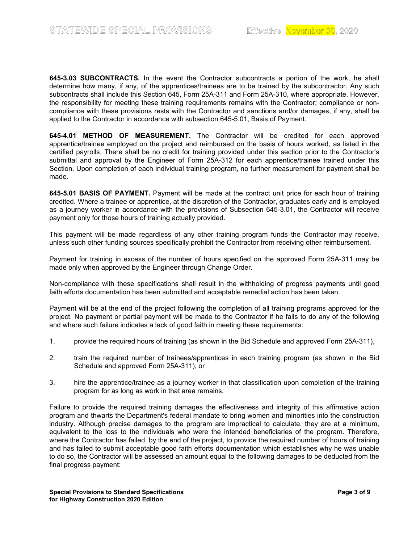**645-3.03 SUBCONTRACTS.** In the event the Contractor subcontracts a portion of the work, he shall determine how many, if any, of the apprentices/trainees are to be trained by the subcontractor. Any such subcontracts shall include this Section 645, Form 25A-311 and Form 25A-310, where appropriate. However, the responsibility for meeting these training requirements remains with the Contractor; compliance or noncompliance with these provisions rests with the Contractor and sanctions and/or damages, if any, shall be applied to the Contractor in accordance with subsection 645-5.01, Basis of Payment.

**645-4.01 METHOD OF MEASUREMENT.** The Contractor will be credited for each approved apprentice/trainee employed on the project and reimbursed on the basis of hours worked, as listed in the certified payrolls. There shall be no credit for training provided under this section prior to the Contractor's submittal and approval by the Engineer of Form 25A-312 for each apprentice/trainee trained under this Section. Upon completion of each individual training program, no further measurement for payment shall be made.

**645-5.01 BASIS OF PAYMENT.** Payment will be made at the contract unit price for each hour of training credited. Where a trainee or apprentice, at the discretion of the Contractor, graduates early and is employed as a journey worker in accordance with the provisions of Subsection 645-3.01, the Contractor will receive payment only for those hours of training actually provided.

This payment will be made regardless of any other training program funds the Contractor may receive, unless such other funding sources specifically prohibit the Contractor from receiving other reimbursement.

Payment for training in excess of the number of hours specified on the approved Form 25A-311 may be made only when approved by the Engineer through Change Order.

Non-compliance with these specifications shall result in the withholding of progress payments until good faith efforts documentation has been submitted and acceptable remedial action has been taken.

Payment will be at the end of the project following the completion of all training programs approved for the project. No payment or partial payment will be made to the Contractor if he fails to do any of the following and where such failure indicates a lack of good faith in meeting these requirements:

- 1. provide the required hours of training (as shown in the Bid Schedule and approved Form 25A-311),
- 2. train the required number of trainees/apprentices in each training program (as shown in the Bid Schedule and approved Form 25A-311), or
- 3. hire the apprentice/trainee as a journey worker in that classification upon completion of the training program for as long as work in that area remains.

Failure to provide the required training damages the effectiveness and integrity of this affirmative action program and thwarts the Department's federal mandate to bring women and minorities into the construction industry. Although precise damages to the program are impractical to calculate, they are at a minimum, equivalent to the loss to the individuals who were the intended beneficiaries of the program. Therefore, where the Contractor has failed, by the end of the project, to provide the required number of hours of training and has failed to submit acceptable good faith efforts documentation which establishes why he was unable to do so, the Contractor will be assessed an amount equal to the following damages to be deducted from the final progress payment: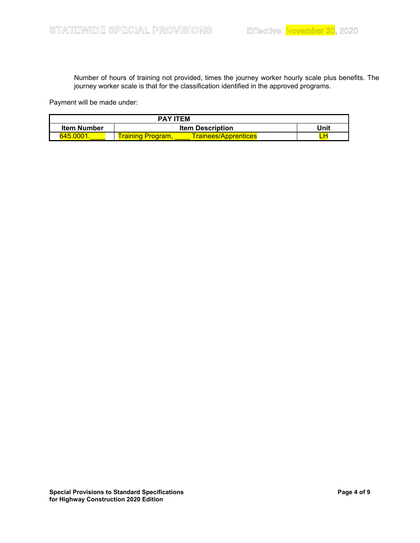Number of hours of training not provided, times the journey worker hourly scale plus benefits. The journey worker scale is that for the classification identified in the approved programs.

Payment will be made under:

| <b>PAY ITEM</b>    |                                        |      |  |  |
|--------------------|----------------------------------------|------|--|--|
| <b>Item Number</b> | <b>Item Description</b>                | Unit |  |  |
| 645.0001           | Trainees/Apprentices<br><b>raining</b> |      |  |  |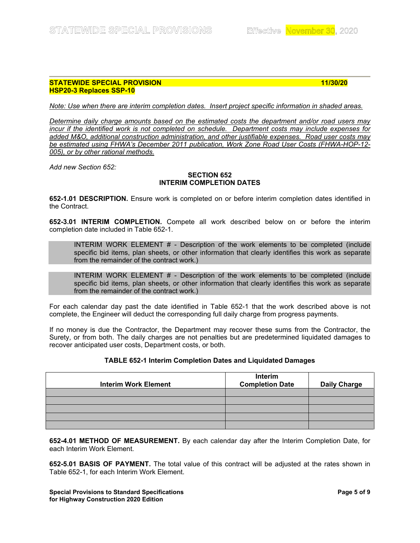## **STATEWIDE SPECIAL PROVISION 11/30/20 HSP20-3 Replaces SSP-10**

*Note: Use when there are interim completion dates. Insert project specific information in shaded areas.* 

*Determine daily charge amounts based on the estimated costs the department and/or road users may incur if the identified work is not completed on schedule. Department costs may include expenses for added M&O, additional construction administration, and other justifiable expenses. Road user costs may be estimated using FHWA's December 2011 publication, Work Zone Road User Costs (FHWA-HOP-12- 005), or by other rational methods.*

*Add new Section 652:*

# **SECTION 652 INTERIM COMPLETION DATES**

**652-1.01 DESCRIPTION.** Ensure work is completed on or before interim completion dates identified in the Contract.

**652-3.01 INTERIM COMPLETION.** Compete all work described below on or before the interim completion date included in Table 652-1.

INTERIM WORK ELEMENT # - Description of the work elements to be completed (include specific bid items, plan sheets, or other information that clearly identifies this work as separate from the remainder of the contract work.)

INTERIM WORK ELEMENT # - Description of the work elements to be completed (include specific bid items, plan sheets, or other information that clearly identifies this work as separate from the remainder of the contract work.)

For each calendar day past the date identified in Table 652-1 that the work described above is not complete, the Engineer will deduct the corresponding full daily charge from progress payments.

If no money is due the Contractor, the Department may recover these sums from the Contractor, the Surety, or from both. The daily charges are not penalties but are predetermined liquidated damages to recover anticipated user costs, Department costs, or both.

## **TABLE 652-1 Interim Completion Dates and Liquidated Damages**

| <b>Interim Work Element</b> | Interim<br><b>Completion Date</b> | <b>Daily Charge</b> |
|-----------------------------|-----------------------------------|---------------------|
|                             |                                   |                     |
|                             |                                   |                     |
|                             |                                   |                     |
|                             |                                   |                     |
|                             |                                   |                     |

**652-4.01 METHOD OF MEASUREMENT.** By each calendar day after the Interim Completion Date, for each Interim Work Element.

**652-5.01 BASIS OF PAYMENT.** The total value of this contract will be adjusted at the rates shown in Table 652-1, for each Interim Work Element.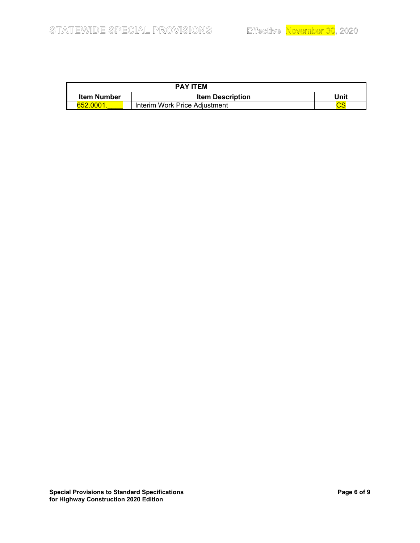| <b>PAY ITEM</b>    |                               |                        |  |  |
|--------------------|-------------------------------|------------------------|--|--|
| <b>Item Number</b> | <b>Item Description</b>       | Unit                   |  |  |
| 652.0001.          | Interim Work Price Adiustment | $\mathop{\mathsf{cs}}$ |  |  |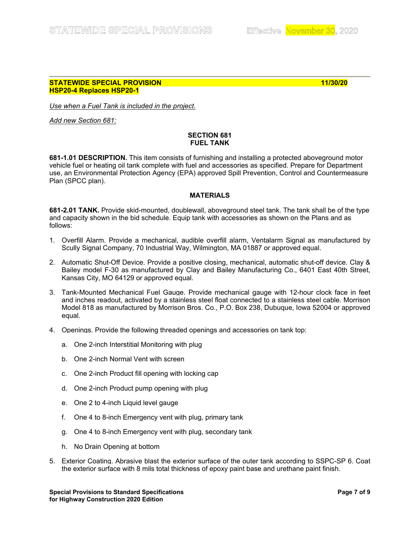## **STATEWIDE SPECIAL PROVISION 11/30/20 HSP20-4 Replaces HSP20-1**

*Use when a Fuel Tank is included in the project.*

*Add new Section 681:*

# **SECTION 681 FUEL TANK**

**681-1.01 DESCRIPTION.** This item consists of furnishing and installing a protected aboveground motor vehicle fuel or heating oil tank complete with fuel and accessories as specified. Prepare for Department use, an Environmental Protection Agency (EPA) approved Spill Prevention, Control and Countermeasure Plan (SPCC plan).

# **MATERIALS**

**681-2.01 TANK.** Provide skid-mounted, doublewall, aboveground steel tank. The tank shall be of the type and capacity shown in the bid schedule. Equip tank with accessories as shown on the Plans and as follows:

- 1. Overfill Alarm. Provide a mechanical, audible overfill alarm, Ventalarm Signal as manufactured by Scully Signal Company, 70 Industrial Way, Wilmington, MA 01887 or approved equal.
- 2. Automatic Shut-Off Device. Provide a positive closing, mechanical, automatic shut-off device. Clay & Bailey model F-30 as manufactured by Clay and Bailey Manufacturing Co., 6401 East 40th Street, Kansas City, MO 64129 or approved equal.
- 3. Tank-Mounted Mechanical Fuel Gauge. Provide mechanical gauge with 12-hour clock face in feet and inches readout, activated by a stainless steel float connected to a stainless steel cable. Morrison Model 818 as manufactured by Morrison Bros. Co., P.O. Box 238, Dubuque, Iowa 52004 or approved equal.
- 4. Openings. Provide the following threaded openings and accessories on tank top:
	- a. One 2-inch Interstitial Monitoring with plug
	- b. One 2-inch Normal Vent with screen
	- c. One 2-inch Product fill opening with locking cap
	- d. One 2-inch Product pump opening with plug
	- e. One 2 to 4-inch Liquid level gauge
	- f. One 4 to 8-inch Emergency vent with plug, primary tank
	- g. One 4 to 8-inch Emergency vent with plug, secondary tank
	- h. No Drain Opening at bottom
- 5. Exterior Coating. Abrasive blast the exterior surface of the outer tank according to SSPC-SP 6. Coat the exterior surface with 8 mils total thickness of epoxy paint base and urethane paint finish.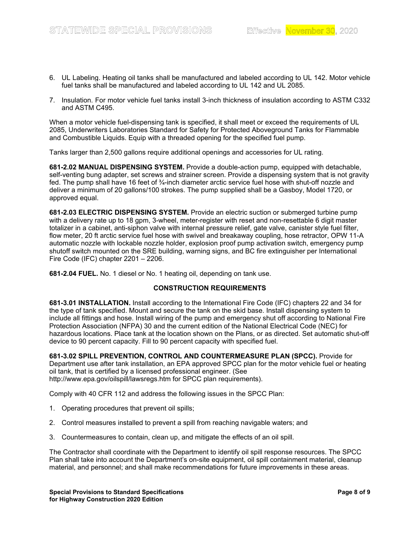- 6. UL Labeling. Heating oil tanks shall be manufactured and labeled according to UL 142. Motor vehicle fuel tanks shall be manufactured and labeled according to UL 142 and UL 2085.
- 7. Insulation. For motor vehicle fuel tanks install 3-inch thickness of insulation according to ASTM C332 and ASTM C495.

When a motor vehicle fuel-dispensing tank is specified, it shall meet or exceed the requirements of UL 2085, Underwriters Laboratories Standard for Safety for Protected Aboveground Tanks for Flammable and Combustible Liquids. Equip with a threaded opening for the specified fuel pump.

Tanks larger than 2,500 gallons require additional openings and accessories for UL rating.

**681-2.02 MANUAL DISPENSING SYSTEM.** Provide a double-action pump, equipped with detachable, self-venting bung adapter, set screws and strainer screen. Provide a dispensing system that is not gravity fed. The pump shall have 16 feet of ¾-inch diameter arctic service fuel hose with shut-off nozzle and deliver a minimum of 20 gallons/100 strokes. The pump supplied shall be a Gasboy, Model 1720, or approved equal.

**681-2.03 ELECTRIC DISPENSING SYSTEM.** Provide an electric suction or submerged turbine pump with a delivery rate up to 18 gpm, 3-wheel, meter-register with reset and non-resettable 6 digit master totalizer in a cabinet, anti-siphon valve with internal pressure relief, gate valve, canister style fuel filter, flow meter, 20 ft arctic service fuel hose with swivel and breakaway coupling, hose retractor, OPW 11-A automatic nozzle with lockable nozzle holder, explosion proof pump activation switch, emergency pump shutoff switch mounted on the SRE building, warning signs, and BC fire extinguisher per International Fire Code (IFC) chapter 2201 – 2206.

**681-2.04 FUEL.** No. 1 diesel or No. 1 heating oil, depending on tank use.

## **CONSTRUCTION REQUIREMENTS**

**681-3.01 INSTALLATION.** Install according to the International Fire Code (IFC) chapters 22 and 34 for the type of tank specified. Mount and secure the tank on the skid base. Install dispensing system to include all fittings and hose. Install wiring of the pump and emergency shut off according to National Fire Protection Association (NFPA) 30 and the current edition of the National Electrical Code (NEC) for hazardous locations. Place tank at the location shown on the Plans, or as directed. Set automatic shut-off device to 90 percent capacity. Fill to 90 percent capacity with specified fuel.

**681-3.02 SPILL PREVENTION, CONTROL AND COUNTERMEASURE PLAN (SPCC).** Provide for Department use after tank installation, an EPA approved SPCC plan for the motor vehicle fuel or heating oil tank, that is certified by a licensed professional engineer. (See <http://www.epa.gov/oilspill/lawsregs.htm> for SPCC plan requirements).

Comply with 40 CFR 112 and address the following issues in the SPCC Plan:

- 1. Operating procedures that prevent oil spills;
- 2. Control measures installed to prevent a spill from reaching navigable waters; and
- 3. Countermeasures to contain, clean up, and mitigate the effects of an oil spill.

The Contractor shall coordinate with the Department to identify oil spill response resources. The SPCC Plan shall take into account the Department's on-site equipment, oil spill containment material, cleanup material, and personnel; and shall make recommendations for future improvements in these areas.